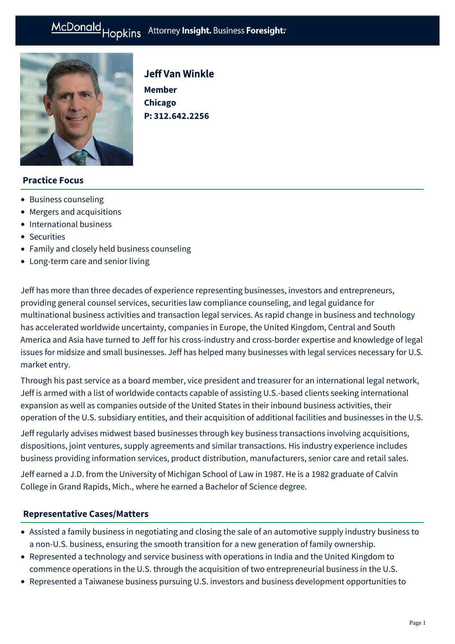# McDonald Hopkins Attorney Insight. Business Foresight:



# Jeff Van Winkle

**Member Chicago P: [312.642.2256](tel:312.642.2256)**

## **Practice Focus**

- [Business counseling](https://mcdonaldhopkins.com/Expertise/Business-counseling)
- [Mergers and acquisitions](https://mcdonaldhopkins.com/Expertise/Mergers-and-acquisitions)
- [International business](https://mcdonaldhopkins.com/Expertise/Business-counseling/International-Business)
- [Securities](https://mcdonaldhopkins.com/Expertise/Business-counseling/Securities)
- [Family and closely held business counseling](https://mcdonaldhopkins.com/Expertise/Business-counseling/Family-and-closely-held-business-counseling)
- [Long-term care and senior living](https://mcdonaldhopkins.com/Expertise/Healthcare/Long-term-care-and-senior-living)

Jeff has more than three decades of experience representing businesses, investors and entrepreneurs, providing general counsel services, securities law compliance counseling, and legal guidance for multinational business activities and transaction legal services. As rapid change in business and technology has accelerated worldwide uncertainty, companies in Europe, the United Kingdom, Central and South America and Asia have turned to Jeff for his cross-industry and cross-border expertise and knowledge of legal issues for midsize and small businesses. Jeff has helped many businesses with legal services necessary for U.S. market entry.

Through his past service as a board member, vice president and treasurer for an international legal network, Jeff is armed with a list of worldwide contacts capable of assisting U.S.-based clients seeking international expansion as well as companies outside of the United States in their inbound business activities, their operation of the U.S. subsidiary entities, and their acquisition of additional facilities and businesses in the U.S.

Jeff regularly advises midwest based businesses through key business transactions involving acquisitions, dispositions, joint ventures, supply agreements and similar transactions. His industry experience includes business providing information services, product distribution, manufacturers, senior care and retail sales.

Jeff earned a J.D. from the University of Michigan School of Law in 1987. He is a 1982 graduate of Calvin College in Grand Rapids, Mich., where he earned a Bachelor of Science degree.

## **[Representative Cases/Matters](#page-0-0)**

- <span id="page-0-0"></span>Assisted a family business in negotiating and closing the sale of an automotive supply industry business to a non-U.S. business, ensuring the smooth transition for a new generation of family ownership.
- Represented a technology and service business with operations in India and the United Kingdom to commence operations in the U.S. through the acquisition of two entrepreneurial business in the U.S.
- Represented a Taiwanese business pursuing U.S. investors and business development opportunities to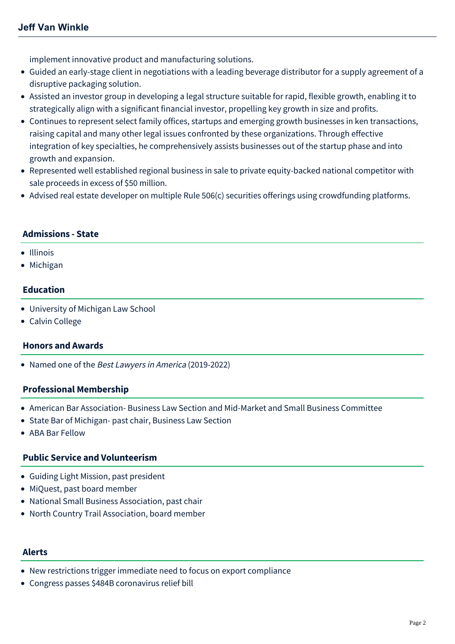implement innovative product and manufacturing solutions.

- Guided an early-stage client in negotiations with a leading beverage distributor for a supply agreement of a disruptive packaging solution.
- Assisted an investor group in developing a legal structure suitable for rapid, flexible growth, enabling it to strategically align with a significant financial investor, propelling key growth in size and profits.
- Continues to represent select family offices, startups and emerging growth businesses in ken transactions, raising capital and many other legal issues confronted by these organizations. Through effective integration of key specialties, he comprehensively assists businesses out of the startup phase and into growth and expansion.
- Represented well established regional business in sale to private equity-backed national competitor with sale proceeds in excess of \$50 million.
- Advised real estate developer on multiple Rule 506(c) securities offerings using crowdfunding platforms.

## **Admissions - State**

#### • Illinois

• Michigan

# **Education**

- University of Michigan Law School
- Calvin College

#### **Honors and Awards**

• Named one of the Best Lawyers in America (2019-2022)

## **Professional Membership**

- American Bar Association- Business Law Section and Mid-Market and Small Business Committee
- State Bar of Michigan- past chair, Business Law Section
- ABA Bar Fellow

## **Public Service and Volunteerism**

- Guiding Light Mission, past president
- MiQuest, past board member
- National Small Business Association, past chair
- North Country Trail Association, board member

#### **Alerts**

- [New restrictions trigger immediate need to focus on export compliance](https://mcdonaldhopkins.com/Insights/March-2022/Russian-export-restrictions)
- [Congress passes \\$484B coronavirus relief bill](https://mcdonaldhopkins.com/Insights/April-2020/Congress-passes-484B-coronavirus-relief-bill)